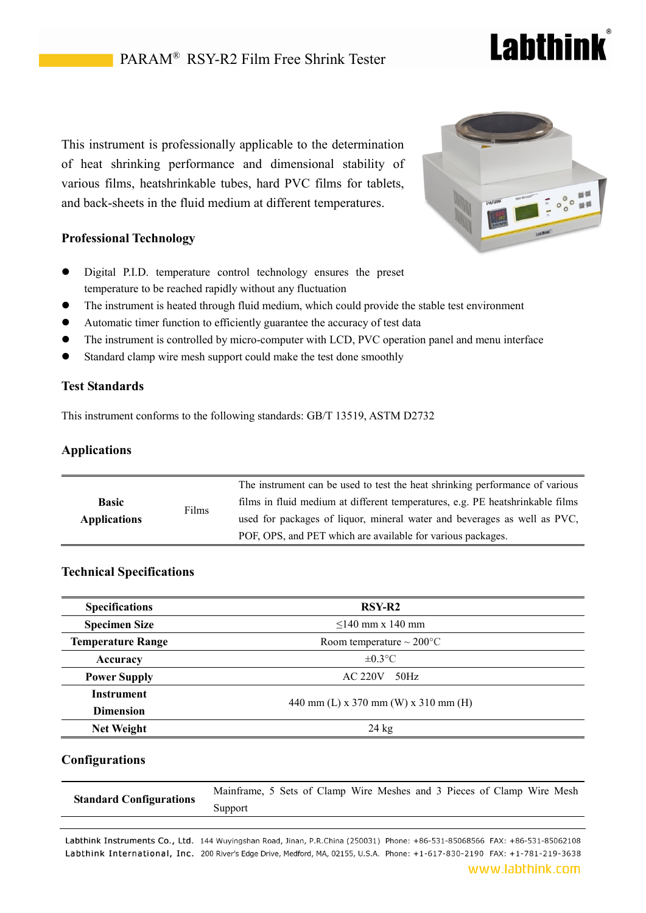# **Labthink**

This instrument is professionally applicable to the determination of heat shrinking performance and dimensional stability of various films, heatshrinkable tubes, hard PVC films for tablets, and back-sheets in the fluid medium at different temperatures.

# **Professional Technology**

- Digital P.I.D. temperature control technology ensures the preset temperature to be reached rapidly without any fluctuation
- The instrument is heated through fluid medium, which could provide the stable test environment
- Automatic timer function to efficiently guarantee the accuracy of test data
- The instrument is controlled by micro-computer with LCD, PVC operation panel and menu interface
- Standard clamp wire mesh support could make the test done smoothly

## **Test Standards**

This instrument conforms to the following standards: GB/T 13519, ASTM D2732

# **Applications**

| <b>Basic</b><br><b>Applications</b> |       | The instrument can be used to test the heat shrinking performance of various  |
|-------------------------------------|-------|-------------------------------------------------------------------------------|
|                                     |       | films in fluid medium at different temperatures, e.g. PE heatshrinkable films |
|                                     | Films | used for packages of liquor, mineral water and beverages as well as PVC,      |
|                                     |       | POF, OPS, and PET which are available for various packages.                   |

## **Technical Specifications**

| <b>Specifications</b>    | RSY-R <sub>2</sub>                   |  |  |  |  |  |
|--------------------------|--------------------------------------|--|--|--|--|--|
| <b>Specimen Size</b>     | $\leq$ 140 mm x 140 mm               |  |  |  |  |  |
| <b>Temperature Range</b> | Room temperature $\sim 200$ °C       |  |  |  |  |  |
| Accuracy                 | $\pm 0.3$ °C                         |  |  |  |  |  |
| <b>Power Supply</b>      | <b>AC 220V</b><br>50Hz               |  |  |  |  |  |
| <b>Instrument</b>        |                                      |  |  |  |  |  |
| <b>Dimension</b>         | 440 mm (L) x 370 mm (W) x 310 mm (H) |  |  |  |  |  |
| <b>Net Weight</b>        | $24 \text{ kg}$                      |  |  |  |  |  |

## **Configurations**

|                                | Mainframe, 5 Sets of Clamp Wire Meshes and 3 Pieces of Clamp Wire Mesh |  |  |  |  |  |  |
|--------------------------------|------------------------------------------------------------------------|--|--|--|--|--|--|
| <b>Standard Configurations</b> | Support                                                                |  |  |  |  |  |  |

Labthink Instruments Co., Ltd. 144 Wuyingshan Road, Jinan, P.R.China (250031) Phone: +86-531-85068566 FAX: +86-531-85062108 Labthink International, Inc. 200 River's Edge Drive, Medford, MA, 02155, U.S.A. Phone: +1-617-830-2190 FAX: +1-781-219-3638